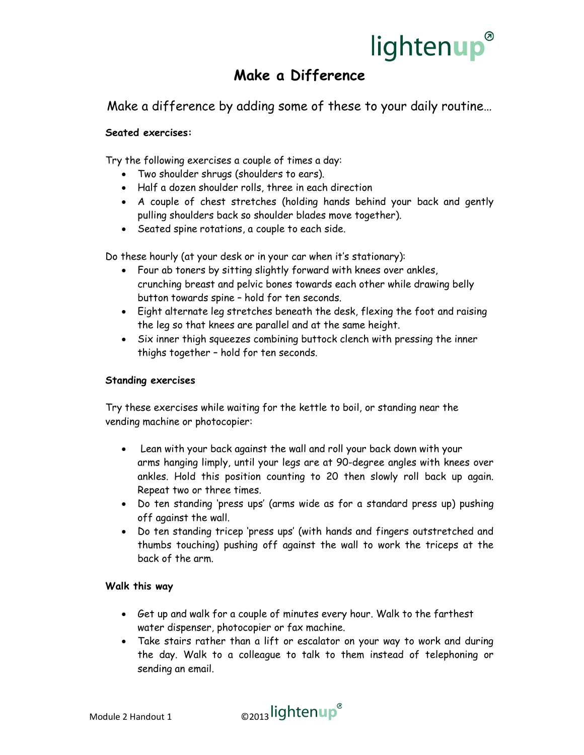# lightenup<sup>®</sup>

# Make a Difference

Make a difference by adding some of these to your daily routine…

## Seated exercises:

Try the following exercises a couple of times a day:

- Two shoulder shrugs (shoulders to ears).
- Half a dozen shoulder rolls, three in each direction
- A couple of chest stretches (holding hands behind your back and gently pulling shoulders back so shoulder blades move together).
- Seated spine rotations, a couple to each side.

Do these hourly (at your desk or in your car when it's stationary):

- Four ab toners by sitting slightly forward with knees over ankles, crunching breast and pelvic bones towards each other while drawing belly button towards spine – hold for ten seconds.
- Eight alternate leg stretches beneath the desk, flexing the foot and raising the leg so that knees are parallel and at the same height.
- Six inner thigh squeezes combining buttock clench with pressing the inner thighs together – hold for ten seconds.

### Standing exercises

Try these exercises while waiting for the kettle to boil, or standing near the vending machine or photocopier:

- Lean with your back against the wall and roll your back down with your arms hanging limply, until your legs are at 90-degree angles with knees over ankles. Hold this position counting to 20 then slowly roll back up again. Repeat two or three times.
- Do ten standing 'press ups' (arms wide as for a standard press up) pushing off against the wall.
- Do ten standing tricep 'press ups' (with hands and fingers outstretched and thumbs touching) pushing off against the wall to work the triceps at the back of the arm.

#### Walk this way

- Get up and walk for a couple of minutes every hour. Walk to the farthest water dispenser, photocopier or fax machine.
- Take stairs rather than a lift or escalator on your way to work and during the day. Walk to a colleague to talk to them instead of telephoning or sending an email.